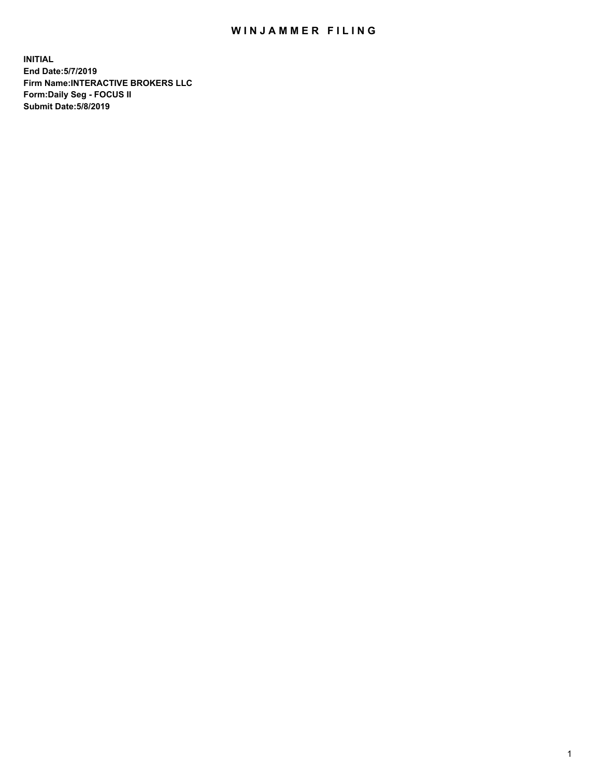## WIN JAMMER FILING

**INITIAL End Date:5/7/2019 Firm Name:INTERACTIVE BROKERS LLC Form:Daily Seg - FOCUS II Submit Date:5/8/2019**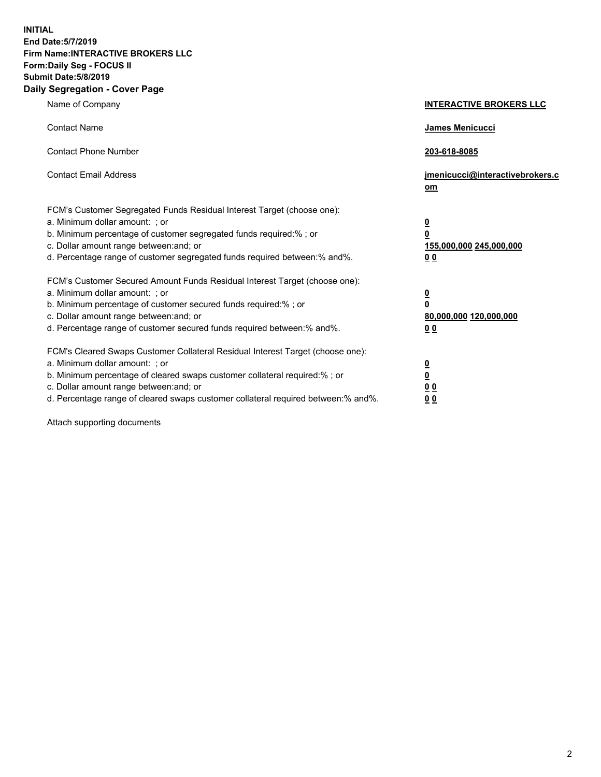**INITIAL End Date:5/7/2019 Firm Name:INTERACTIVE BROKERS LLC Form:Daily Seg - FOCUS II Submit Date:5/8/2019 Daily Segregation - Cover Page**

| Name of Company                                                                                                                                                                                                                                                                                                                | <b>INTERACTIVE BROKERS LLC</b>                                                      |
|--------------------------------------------------------------------------------------------------------------------------------------------------------------------------------------------------------------------------------------------------------------------------------------------------------------------------------|-------------------------------------------------------------------------------------|
| <b>Contact Name</b>                                                                                                                                                                                                                                                                                                            | James Menicucci                                                                     |
| <b>Contact Phone Number</b>                                                                                                                                                                                                                                                                                                    | 203-618-8085                                                                        |
| <b>Contact Email Address</b>                                                                                                                                                                                                                                                                                                   | jmenicucci@interactivebrokers.c<br>om                                               |
| FCM's Customer Segregated Funds Residual Interest Target (choose one):<br>a. Minimum dollar amount: ; or<br>b. Minimum percentage of customer segregated funds required:% ; or<br>c. Dollar amount range between: and; or<br>d. Percentage range of customer segregated funds required between:% and%.                         | $\overline{\mathbf{0}}$<br>$\overline{\mathbf{0}}$<br>155,000,000 245,000,000<br>00 |
| FCM's Customer Secured Amount Funds Residual Interest Target (choose one):<br>a. Minimum dollar amount: ; or<br>b. Minimum percentage of customer secured funds required:% ; or<br>c. Dollar amount range between: and; or<br>d. Percentage range of customer secured funds required between:% and%.                           | $\overline{\mathbf{0}}$<br>$\pmb{0}$<br>80,000,000 120,000,000<br>00                |
| FCM's Cleared Swaps Customer Collateral Residual Interest Target (choose one):<br>a. Minimum dollar amount: ; or<br>b. Minimum percentage of cleared swaps customer collateral required:% ; or<br>c. Dollar amount range between: and; or<br>d. Percentage range of cleared swaps customer collateral required between:% and%. | $\overline{\mathbf{0}}$<br>$\underline{\mathbf{0}}$<br>0 <sub>0</sub><br>00         |

Attach supporting documents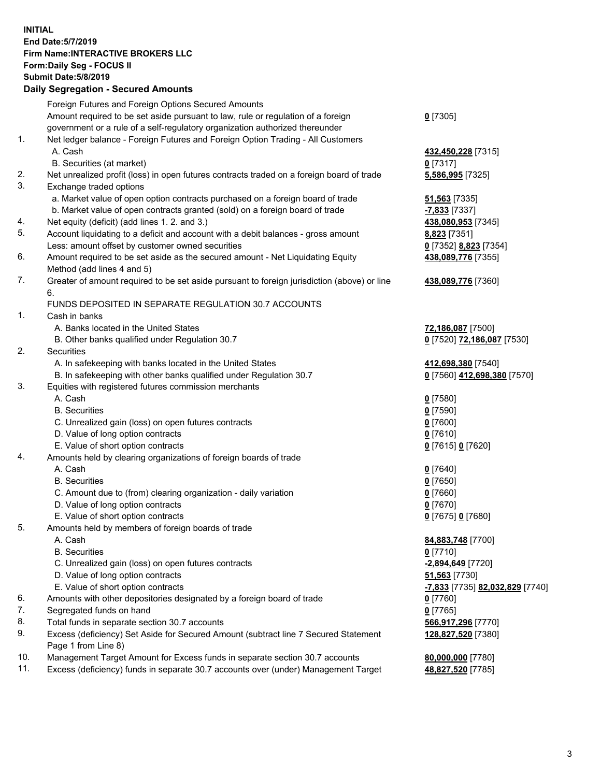## **INITIAL End Date:5/7/2019 Firm Name:INTERACTIVE BROKERS LLC Form:Daily Seg - FOCUS II Submit Date:5/8/2019 Daily Segregation - Secured Amounts**

|                | Dany Ocgregation - Occarea Anioants                                                         |                                                     |
|----------------|---------------------------------------------------------------------------------------------|-----------------------------------------------------|
|                | Foreign Futures and Foreign Options Secured Amounts                                         |                                                     |
|                | Amount required to be set aside pursuant to law, rule or regulation of a foreign            | $0$ [7305]                                          |
|                | government or a rule of a self-regulatory organization authorized thereunder                |                                                     |
| 1.             | Net ledger balance - Foreign Futures and Foreign Option Trading - All Customers             |                                                     |
|                | A. Cash                                                                                     | 432,450,228 [7315]                                  |
|                | B. Securities (at market)                                                                   | $0$ [7317]                                          |
| 2.             | Net unrealized profit (loss) in open futures contracts traded on a foreign board of trade   | 5,586,995 [7325]                                    |
| 3.             | Exchange traded options                                                                     |                                                     |
|                | a. Market value of open option contracts purchased on a foreign board of trade              | <b>51,563</b> [7335]                                |
|                | b. Market value of open contracts granted (sold) on a foreign board of trade                | -7,833 [7337]                                       |
| 4.             | Net equity (deficit) (add lines 1. 2. and 3.)                                               | 438,080,953 [7345]                                  |
| 5.             | Account liquidating to a deficit and account with a debit balances - gross amount           | 8,823 [7351]                                        |
|                | Less: amount offset by customer owned securities                                            | 0 [7352] 8,823 [7354]                               |
| 6.             | Amount required to be set aside as the secured amount - Net Liquidating Equity              | 438,089,776 [7355]                                  |
|                | Method (add lines 4 and 5)                                                                  |                                                     |
| 7.             | Greater of amount required to be set aside pursuant to foreign jurisdiction (above) or line | 438,089,776 [7360]                                  |
|                | 6.                                                                                          |                                                     |
|                | FUNDS DEPOSITED IN SEPARATE REGULATION 30.7 ACCOUNTS                                        |                                                     |
| $\mathbf{1}$ . | Cash in banks                                                                               |                                                     |
|                | A. Banks located in the United States                                                       | 72,186,087 [7500]                                   |
|                | B. Other banks qualified under Regulation 30.7                                              | 0 [7520] 72,186,087 [7530]                          |
| 2.             | Securities                                                                                  |                                                     |
|                | A. In safekeeping with banks located in the United States                                   | 412,698,380 [7540]                                  |
|                | B. In safekeeping with other banks qualified under Regulation 30.7                          | 0 [7560] 412,698,380 [7570]                         |
| 3.             | Equities with registered futures commission merchants                                       |                                                     |
|                | A. Cash                                                                                     | $0$ [7580]                                          |
|                | <b>B.</b> Securities                                                                        | $0$ [7590]                                          |
|                | C. Unrealized gain (loss) on open futures contracts                                         | $0$ [7600]                                          |
|                | D. Value of long option contracts                                                           | $0$ [7610]                                          |
|                | E. Value of short option contracts                                                          | 0 [7615] 0 [7620]                                   |
| 4.             | Amounts held by clearing organizations of foreign boards of trade                           |                                                     |
|                | A. Cash                                                                                     | $0$ [7640]                                          |
|                | <b>B.</b> Securities                                                                        | $0$ [7650]                                          |
|                | C. Amount due to (from) clearing organization - daily variation                             | $0$ [7660]                                          |
|                | D. Value of long option contracts                                                           | $0$ [7670]                                          |
|                | E. Value of short option contracts                                                          | 0 [7675] 0 [7680]                                   |
| 5.             | Amounts held by members of foreign boards of trade                                          |                                                     |
|                | A. Cash                                                                                     | 84,883,748 [7700]                                   |
|                | <b>B.</b> Securities                                                                        | $0$ [7710]                                          |
|                | C. Unrealized gain (loss) on open futures contracts                                         | -2,894,649 [7720]                                   |
|                | D. Value of long option contracts                                                           | 51,563 [7730]                                       |
|                | E. Value of short option contracts                                                          | <mark>-7,833</mark> [7735] <b>82,032,829</b> [7740] |
| 6.             | Amounts with other depositories designated by a foreign board of trade                      | 0 [7760]                                            |
| 7.             | Segregated funds on hand                                                                    | $0$ [7765]                                          |
| 8.             | Total funds in separate section 30.7 accounts                                               | 566,917,296 [7770]                                  |
| 9.             | Excess (deficiency) Set Aside for Secured Amount (subtract line 7 Secured Statement         | 128,827,520 [7380]                                  |
|                | Page 1 from Line 8)                                                                         |                                                     |
| 10.            | Management Target Amount for Excess funds in separate section 30.7 accounts                 | 80,000,000 [7780]                                   |
| 11.            | Excess (deficiency) funds in separate 30.7 accounts over (under) Management Target          | 48,827,520 [7785]                                   |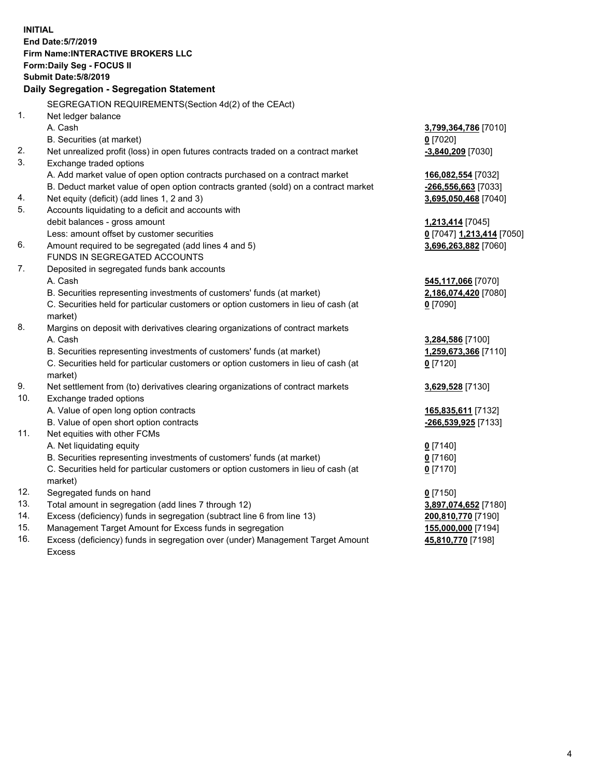**INITIAL End Date:5/7/2019 Firm Name:INTERACTIVE BROKERS LLC Form:Daily Seg - FOCUS II Submit Date:5/8/2019 Daily Segregation - Segregation Statement** SEGREGATION REQUIREMENTS(Section 4d(2) of the CEAct) 1. Net ledger balance A. Cash **3,799,364,786** [7010] B. Securities (at market) **0** [7020] 2. Net unrealized profit (loss) in open futures contracts traded on a contract market **-3,840,209** [7030] 3. Exchange traded options A. Add market value of open option contracts purchased on a contract market **166,082,554** [7032] B. Deduct market value of open option contracts granted (sold) on a contract market **-266,556,663** [7033] 4. Net equity (deficit) (add lines 1, 2 and 3) **3,695,050,468** [7040] 5. Accounts liquidating to a deficit and accounts with debit balances - gross amount **1,213,414** [7045] Less: amount offset by customer securities **0** [7047] **1,213,414** [7050] 6. Amount required to be segregated (add lines 4 and 5) **3,696,263,882** [7060] FUNDS IN SEGREGATED ACCOUNTS 7. Deposited in segregated funds bank accounts A. Cash **545,117,066** [7070] B. Securities representing investments of customers' funds (at market) **2,186,074,420** [7080] C. Securities held for particular customers or option customers in lieu of cash (at market) **0** [7090] 8. Margins on deposit with derivatives clearing organizations of contract markets A. Cash **3,284,586** [7100] B. Securities representing investments of customers' funds (at market) **1,259,673,366** [7110] C. Securities held for particular customers or option customers in lieu of cash (at market) **0** [7120] 9. Net settlement from (to) derivatives clearing organizations of contract markets **3,629,528** [7130] 10. Exchange traded options A. Value of open long option contracts **165,835,611** [7132] B. Value of open short option contracts **-266,539,925** [7133] 11. Net equities with other FCMs A. Net liquidating equity **0** [7140] B. Securities representing investments of customers' funds (at market) **0** [7160] C. Securities held for particular customers or option customers in lieu of cash (at market) **0** [7170] 12. Segregated funds on hand **0** [7150] 13. Total amount in segregation (add lines 7 through 12) **3,897,074,652** [7180] 14. Excess (deficiency) funds in segregation (subtract line 6 from line 13) **200,810,770** [7190] 15. Management Target Amount for Excess funds in segregation **155,000,000** [7194] **45,810,770** [7198]

16. Excess (deficiency) funds in segregation over (under) Management Target Amount Excess